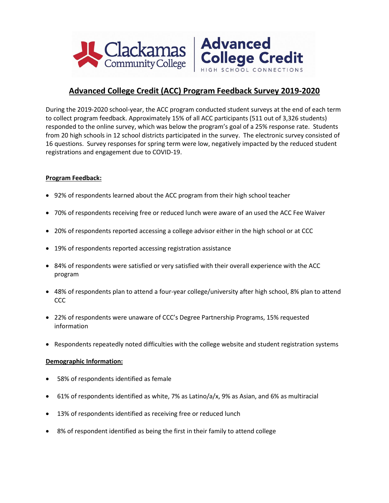



College Credit

During the 2019-2020 school-year, the ACC program conducted student surveys at the end of each term to collect program feedback. Approximately 15% of all ACC participants (511 out of 3,326 students) responded to the online survey, which was below the program's goal of a 25% response rate. Students from 20 high schools in 12 school districts participated in the survey. The electronic survey consisted of 16 questions. Survey responses for spring term were low, negatively impacted by the reduced student registrations and engagement due to COVID-19.

## **Program Feedback:**

- 92% of respondents learned about the ACC program from their high school teacher
- 70% of respondents receiving free or reduced lunch were aware of an used the ACC Fee Waiver
- 20% of respondents reported accessing a college advisor either in the high school or at CCC
- 19% of respondents reported accessing registration assistance
- 84% of respondents were satisfied or very satisfied with their overall experience with the ACC program
- 48% of respondents plan to attend a four-year college/university after high school, 8% plan to attend CCC
- 22% of respondents were unaware of CCC's Degree Partnership Programs, 15% requested information
- Respondents repeatedly noted difficulties with the college website and student registration systems

## **Demographic Information:**

- 58% of respondents identified as female
- 61% of respondents identified as white, 7% as Latino/a/x, 9% as Asian, and 6% as multiracial
- 13% of respondents identified as receiving free or reduced lunch
- 8% of respondent identified as being the first in their family to attend college